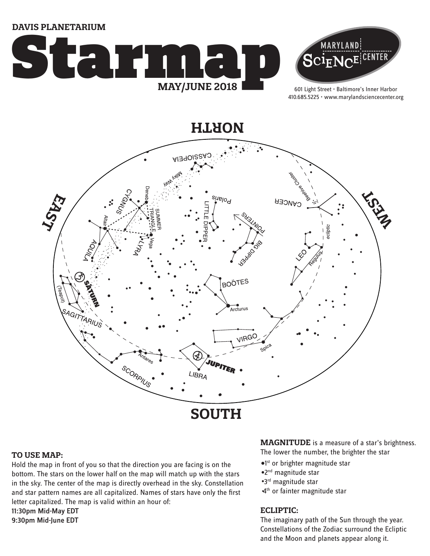**DAVIS PLANETARIUM**





601 Light Street • Baltimore's Inner Harbor 410.685.5225 • www.marylandsciencecenter.org

**NORTH**



### **TO USE MAP:**

Hold the map in front of you so that the direction you are facing is on the bottom. The stars on the lower half on the map will match up with the stars in the sky. The center of the map is directly overhead in the sky. Constellation and star pattern names are all capitalized. Names of stars have only the first letter capitalized. The map is valid within an hour of: 11:30pm Mid-May EDT 9:30pm Mid-June EDT

**MAGNITUDE** is a measure of a star's brightness.

The lower the number, the brighter the star

- <sup>o1st</sup> or brighter magnitude star
- 2nd magnitude star
- 3rd magnitude star
- 4<sup>th</sup> or fainter magnitude star

### **ECLIPTIC:**

The imaginary path of the Sun through the year. Constellations of the Zodiac surround the Ecliptic and the Moon and planets appear along it.